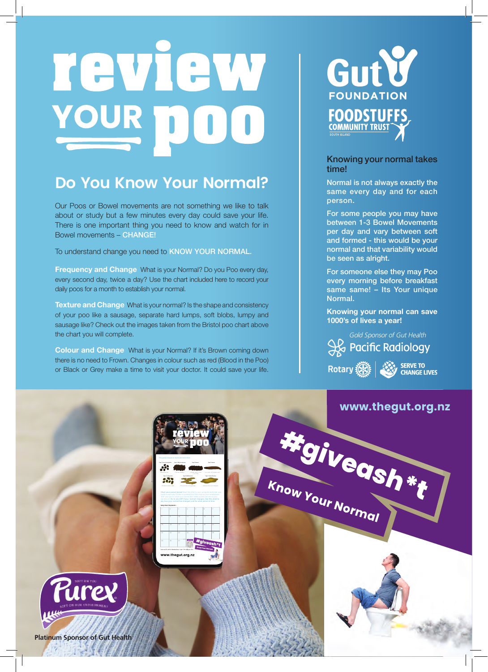# review YOUR DOO

## **Do You Know Your Normal?**

Our Poos or Bowel movements are not something we like to talk about or study but a few minutes every day could save your life. There is one important thing you need to know and watch for in Bowel movements – CHANGE!

To understand change you need to KNOW YOUR NORMAL.

**Frequency and Change** What is your Normal? Do you Poo every day, every second day, twice a day? Use the chart included here to record your daily poos for a month to establish your normal.

**Texture and Change** What is your normal? Is the shape and consistency of your poo like a sausage, separate hard lumps, soft blobs, lumpy and sausage like? Check out the images taken from the Bristol poo chart above the chart you will complete.

**Colour and Change** What is your Normal? If it's Brown coming down there is no need to Frown. Changes in colour such as red (Blood in the Poo) or Black or Grey make a time to visit your doctor. It could save your life.



#### Knowing your normal takes time!

Normal is not always exactly the same every day and for each person.

For some people you may have between 1-3 Bowel Movements per day and vary between soft and formed - this would be your normal and that variability would be seen as alright.

For someone else they may Poo every morning before breakfast same same! – Its Your unique Normal.

**Knowing your normal can save 1000's of lives a year!** 



Rotary (A) SERVE TO

### **www.thegut.org.nz**